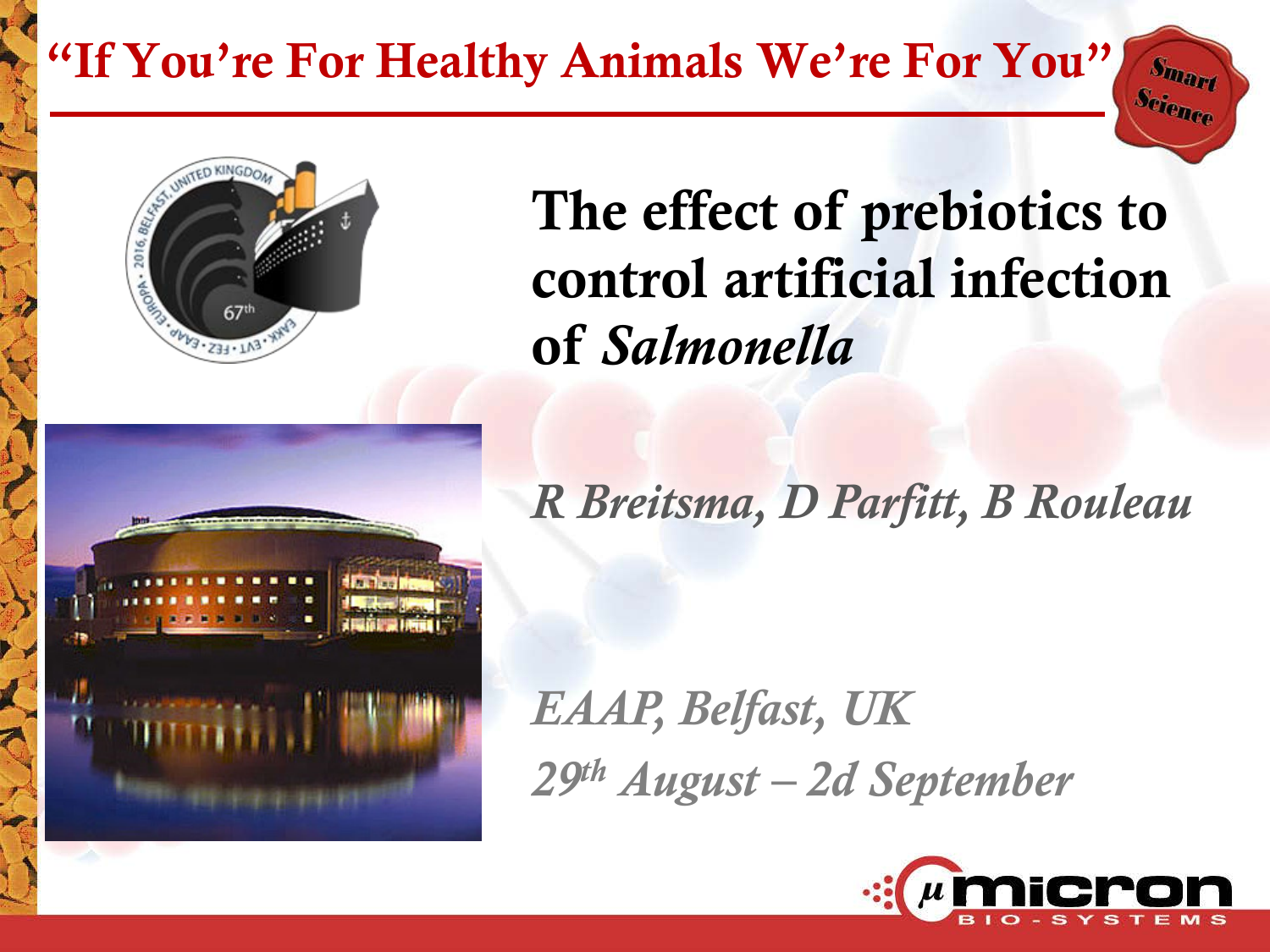#### "If You're For Healthy Animals We're For You"



# The effect of prebiotics to control artificial infection of *Salmonella*

*R Breitsma, D Parfitt, B Rouleau*

*EAAP, Belfast, UK 29th August – 2d September*



 $S_{\bm{m}_{\bm{a}_\bm{r}_\bm{t}}}$ Science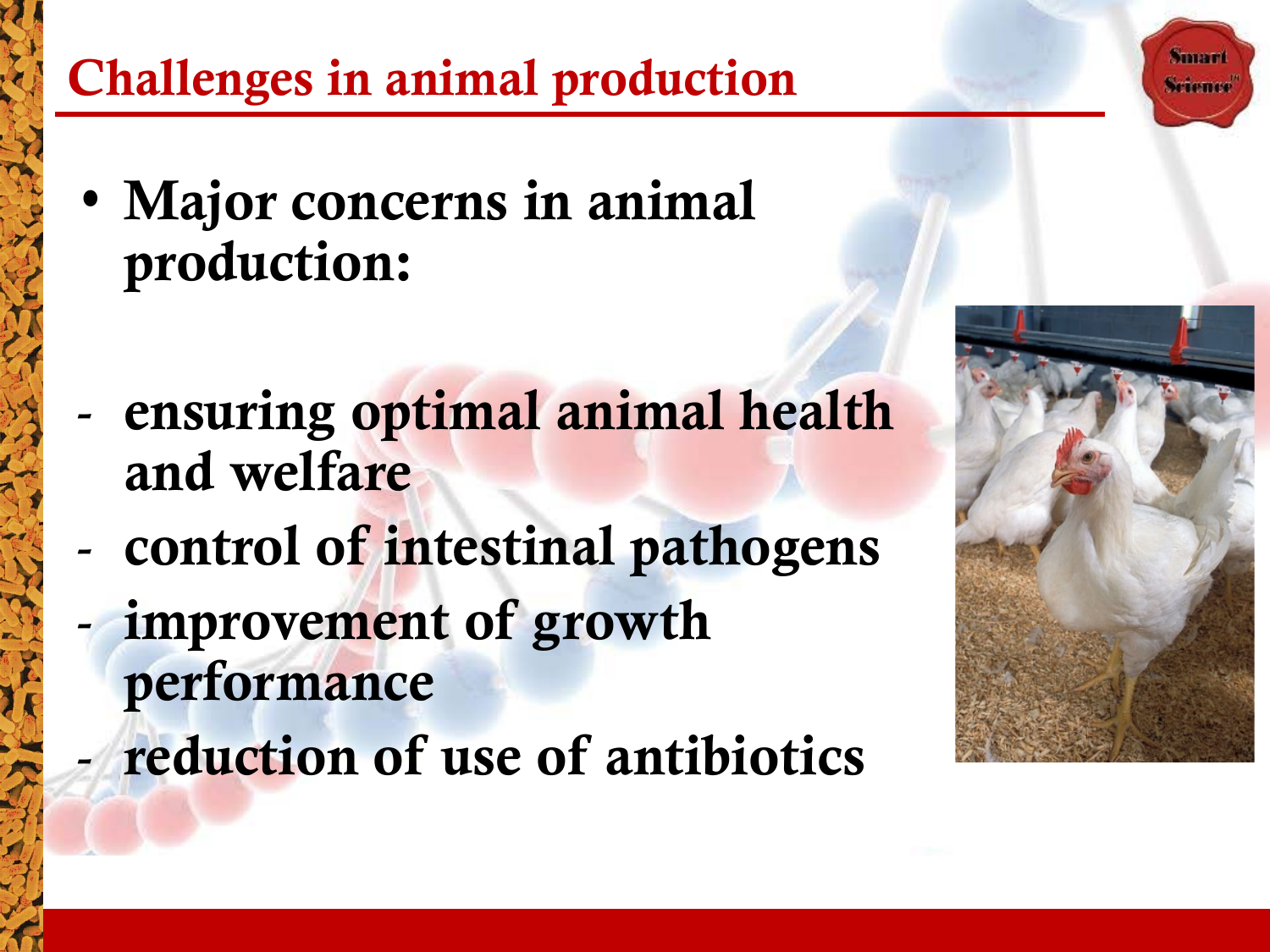# Challenges in animal production

- Major concerns in animal production:
- ensuring optimal animal health and welfare
- control of intestinal pathogens
- improvement of growth performance
- reduction of use of antibiotics



**STIMBER**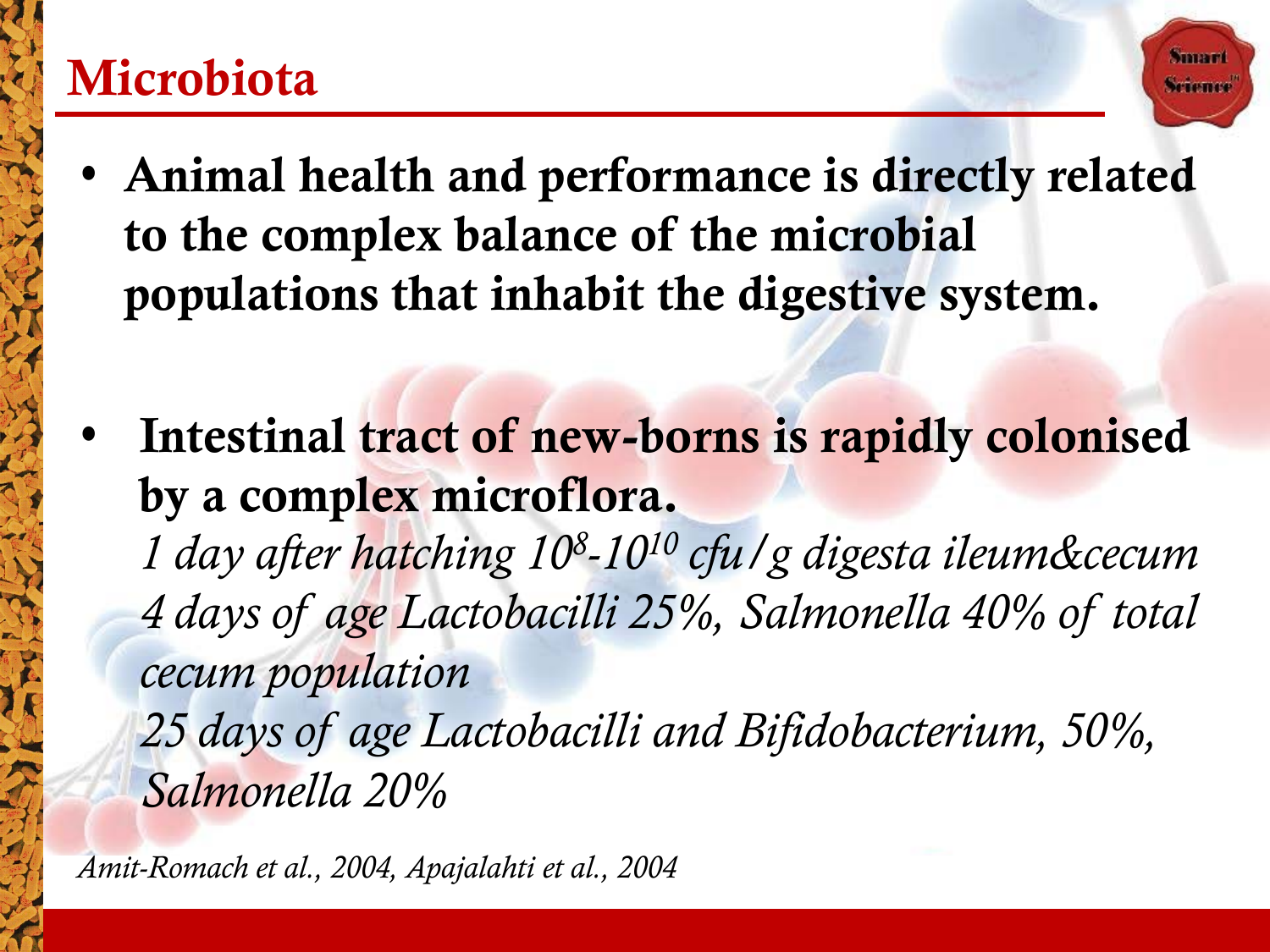#### **Microbiota**

• Animal health and performance is directly related to the complex balance of the microbial populations that inhabit the digestive system.

близов

Intestinal tract of new-borns is rapidly colonised by a complex microflora.

*1 day after hatching 108-1010 cfu/g digesta ileum&cecum 4 days of age Lactobacilli 25%, Salmonella 40% of total cecum population*

*25 days of age Lactobacilli and Bifidobacterium, 50%, Salmonella 20%*

*Amit-Romach et al., 2004, Apajalahti et al., 2004*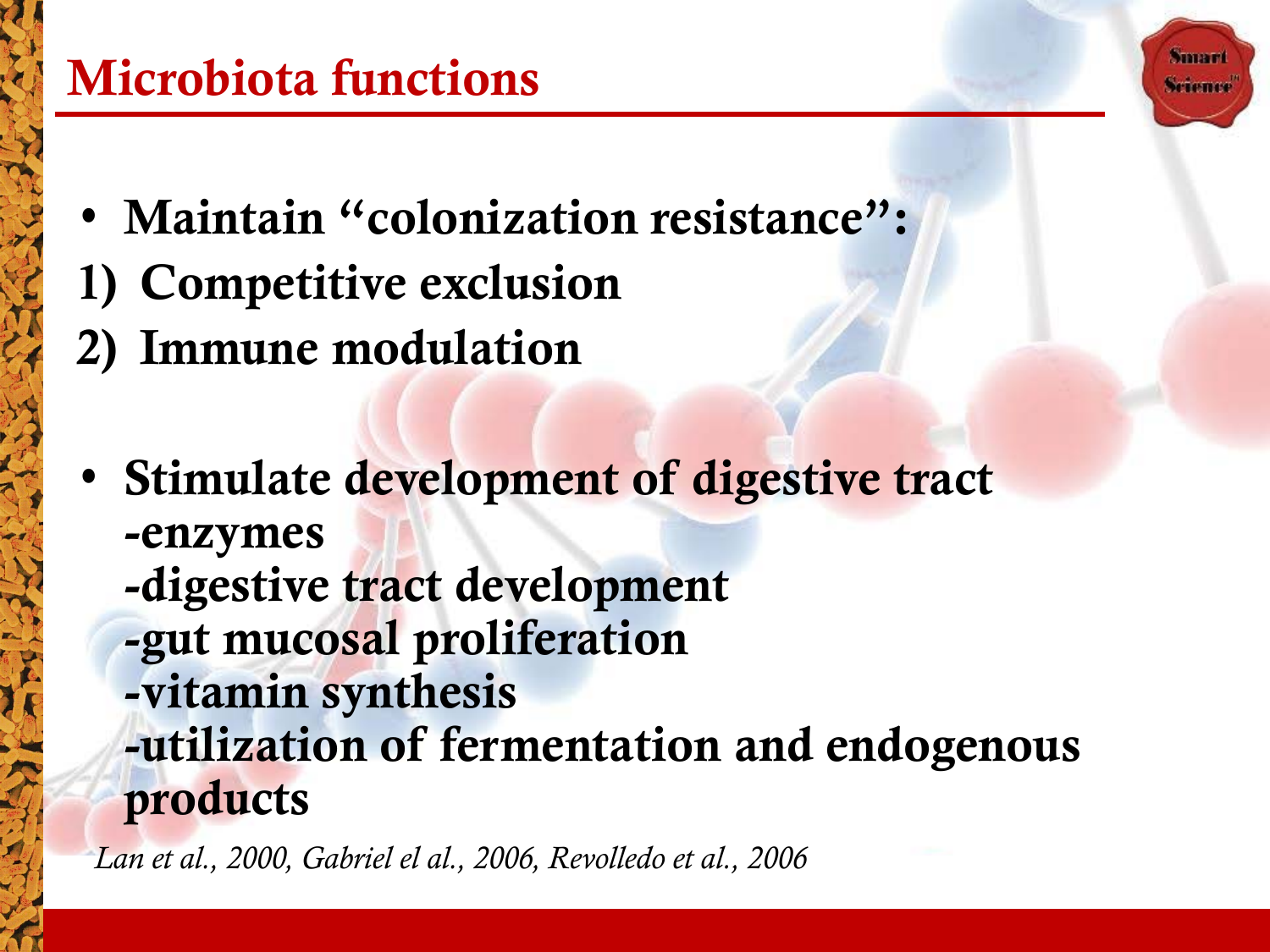- Maintain "colonization resistance": 1) Competitive exclusion 2) Immune modulation
- Stimulate development of digestive tract -enzymes

**STIMBER Scheme** 

- -digestive tract development
- -gut mucosal proliferation
- -vitamin synthesis -utilization of fermentation and endogenous products

*Lan et al., 2000, Gabriel el al., 2006, Revolledo et al., 2006*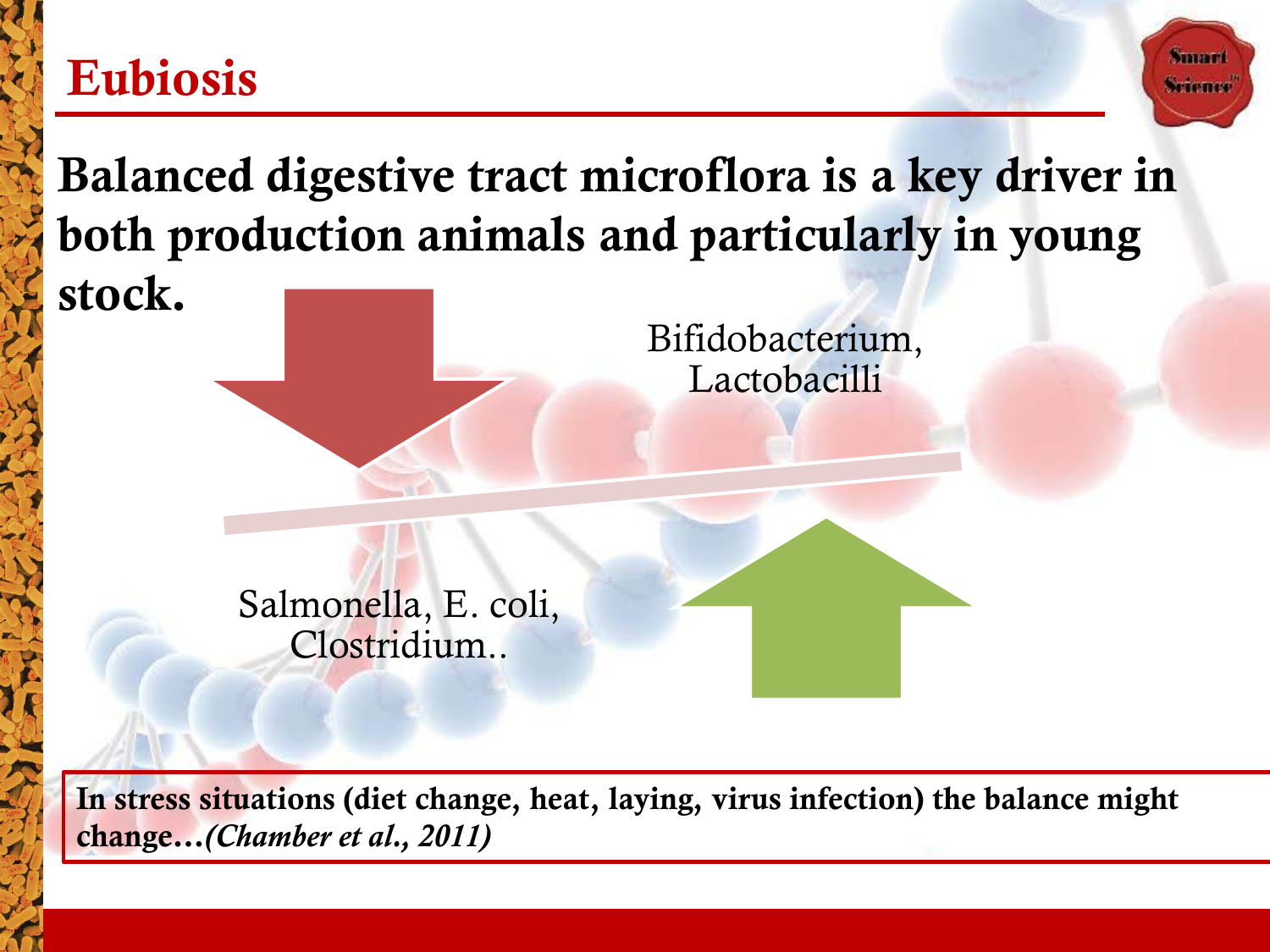#### Eubiosis

Balanced digestive tract microflora is a key driver in both production animals and particularly in young stock.

Bifidobacterium,

**Summar** Science

**Lactobacilli** 

Salmonella, E. coli, Clostridium..

In stress situations (diet change, heat, laying, virus infection) the balance might change*…(Chamber et al., 2011)*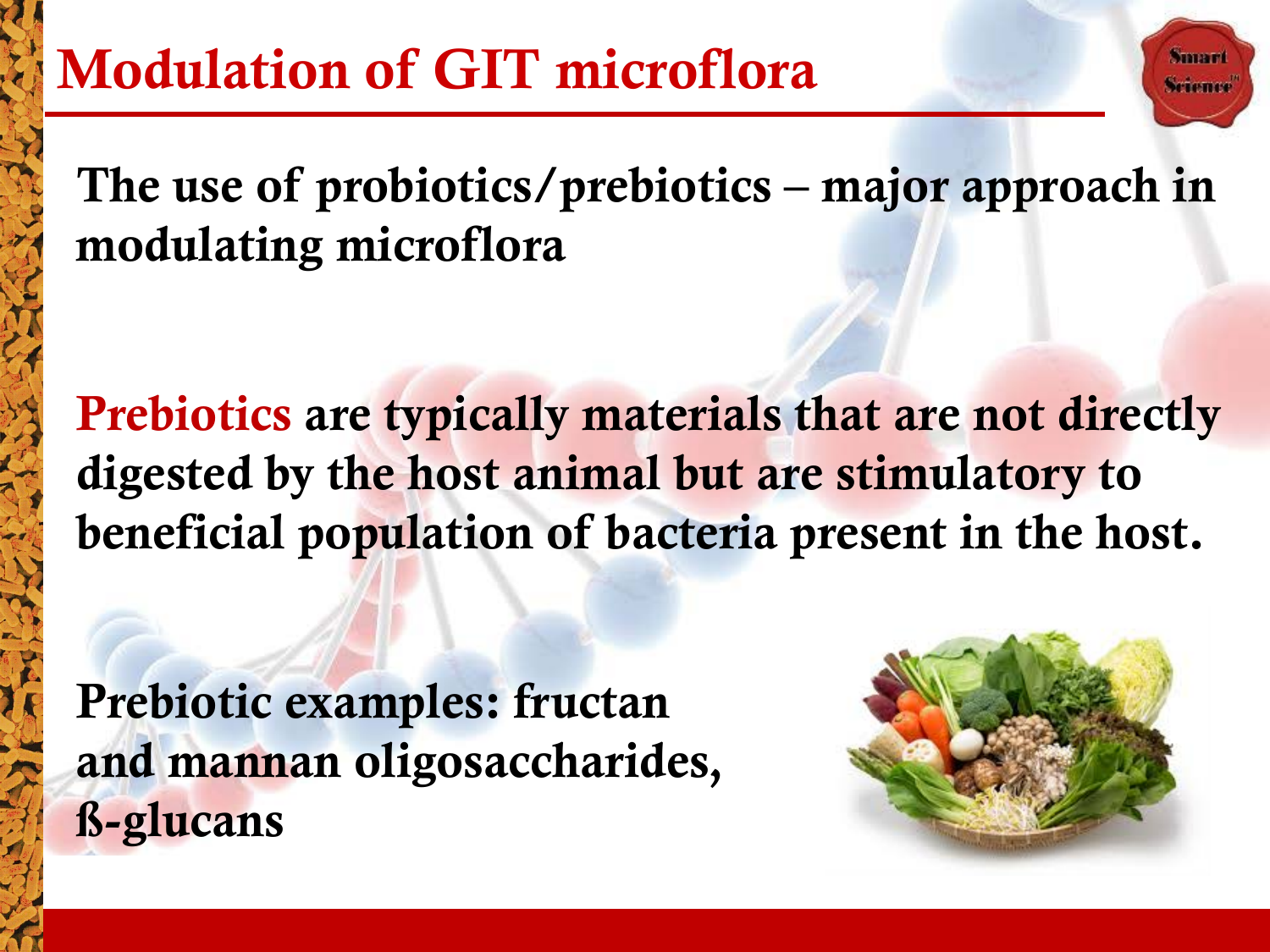The use of probiotics/prebiotics – major approach in modulating microflora

Prebiotics are typically materials that are not directly digested by the host animal but are stimulatory to beneficial population of bacteria present in the host.

Prebiotic examples: fructan and mannan oligosaccharides, ß-glucans



taması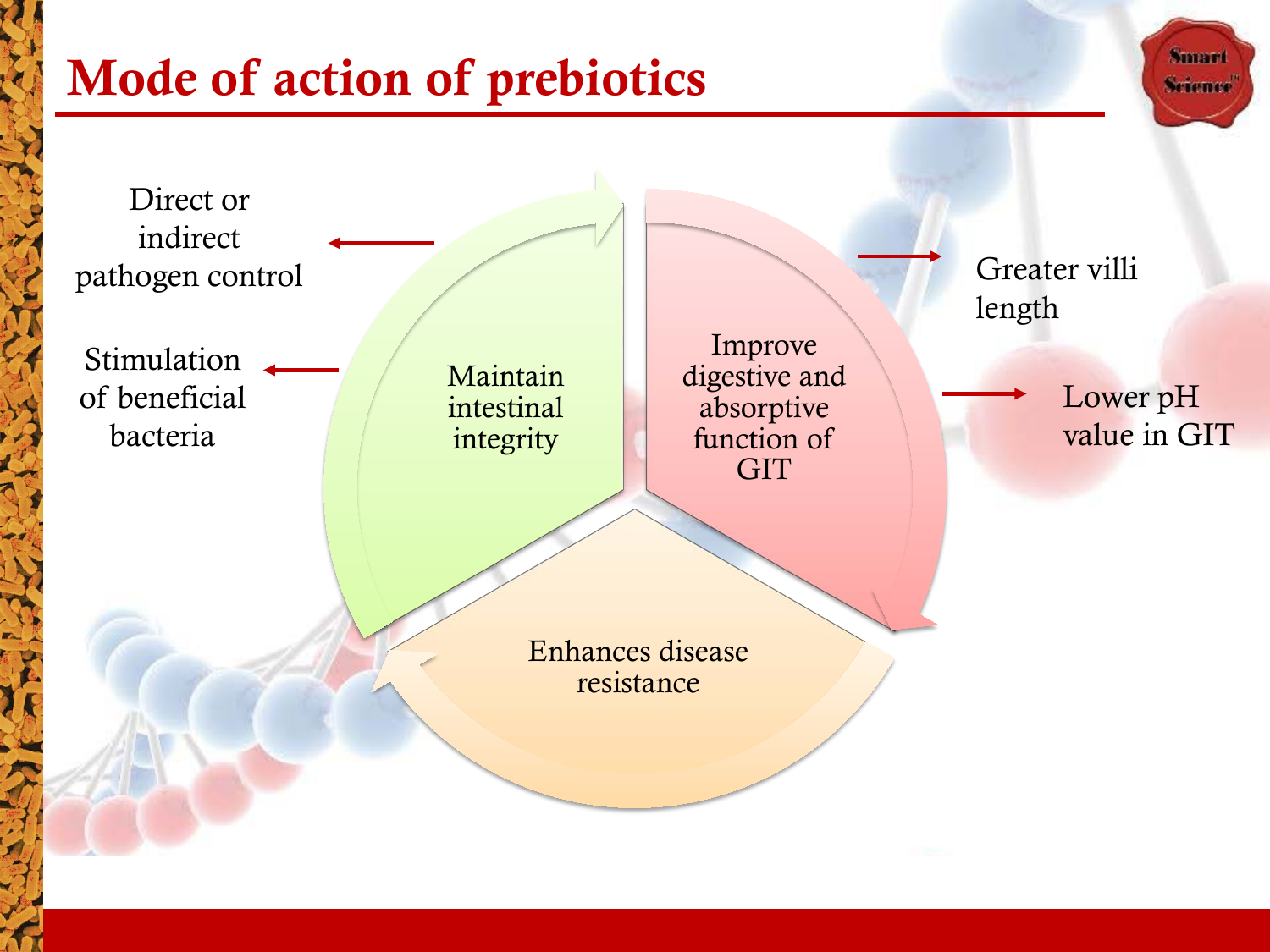### Mode of action of prebiotics

Smart **Science** 

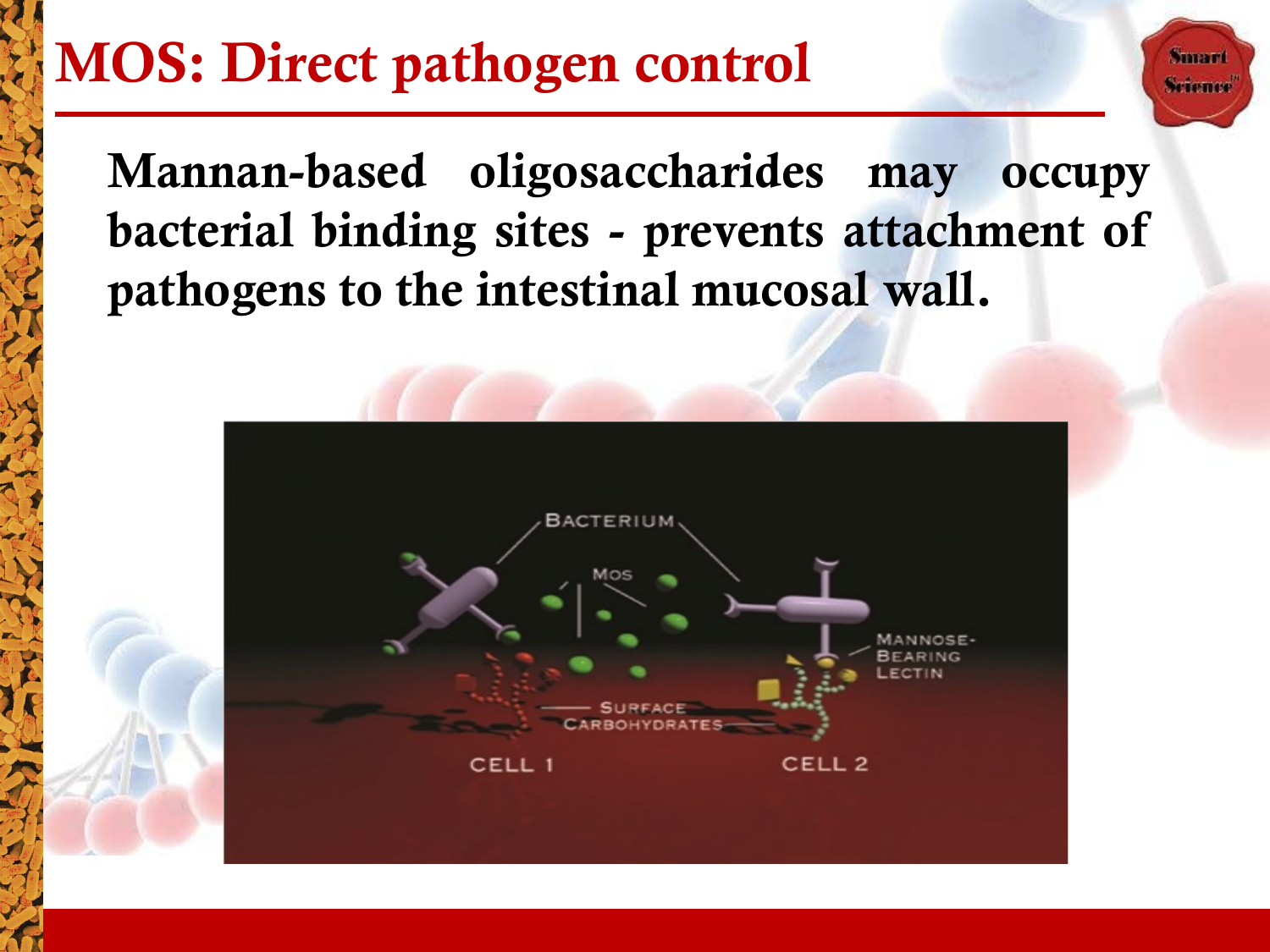# MOS: Direct pathogen control

Mannan-based oligosaccharides may occupy bacterial binding sites - prevents attachment of pathogens to the intestinal mucosal wall.

Sunam Science

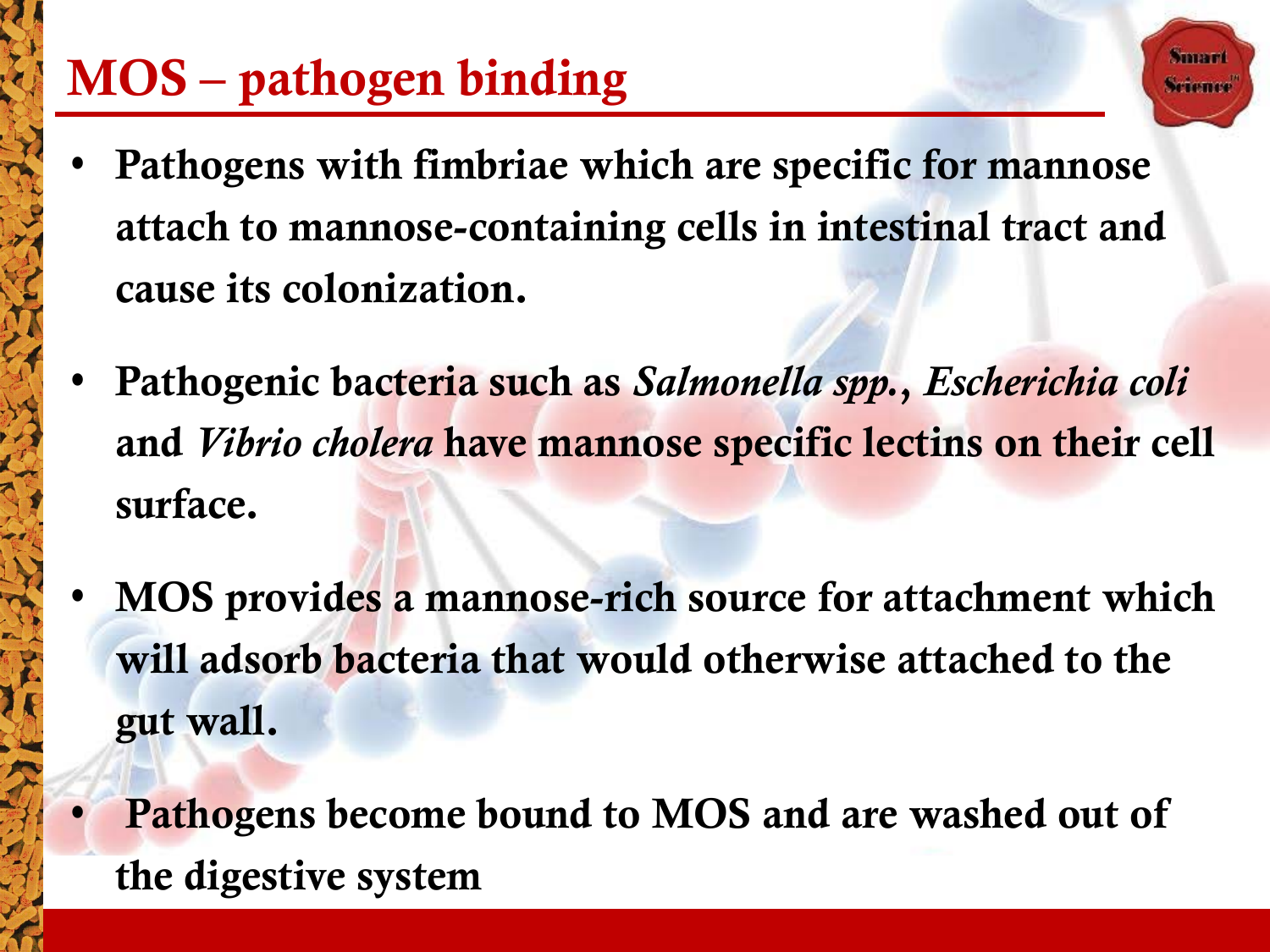# MOS – pathogen binding

Pathogens with fimbriae which are specific for mannose attach to mannose-containing cells in intestinal tract and cause its colonization.

itunan

- Pathogenic bacteria such as *Salmonella spp.*, *Escherichia coli*  and *Vibrio cholera* have mannose specific lectins on their cell surface.
- MOS provides a mannose-rich source for attachment which will adsorb bacteria that would otherwise attached to the gut wall.
	- Pathogens become bound to MOS and are washed out of the digestive system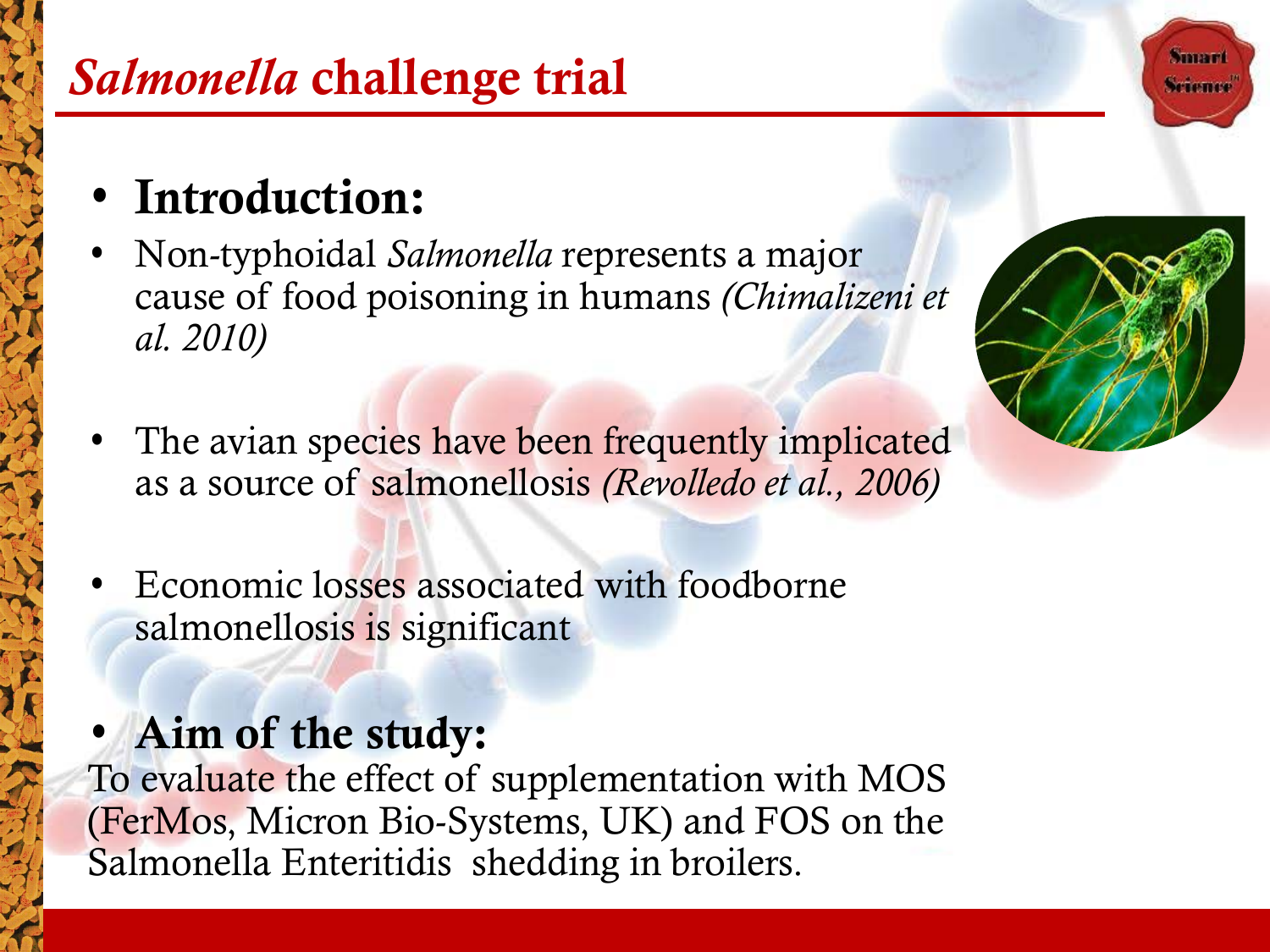### *Salmonella* challenge trial

### • Introduction:

- Non-typhoidal *Salmonella* represents a major cause of food poisoning in humans *(Chimalizeni et al. 2010)*
- The avian species have been frequently implicated as a source of salmonellosis *(Revolledo et al., 2006)*
- Economic losses associated with foodborne salmonellosis is significant

#### Aim of the study:

To evaluate the effect of supplementation with MOS (FerMos, Micron Bio-Systems, UK) and FOS on the Salmonella Enteritidis shedding in broilers.



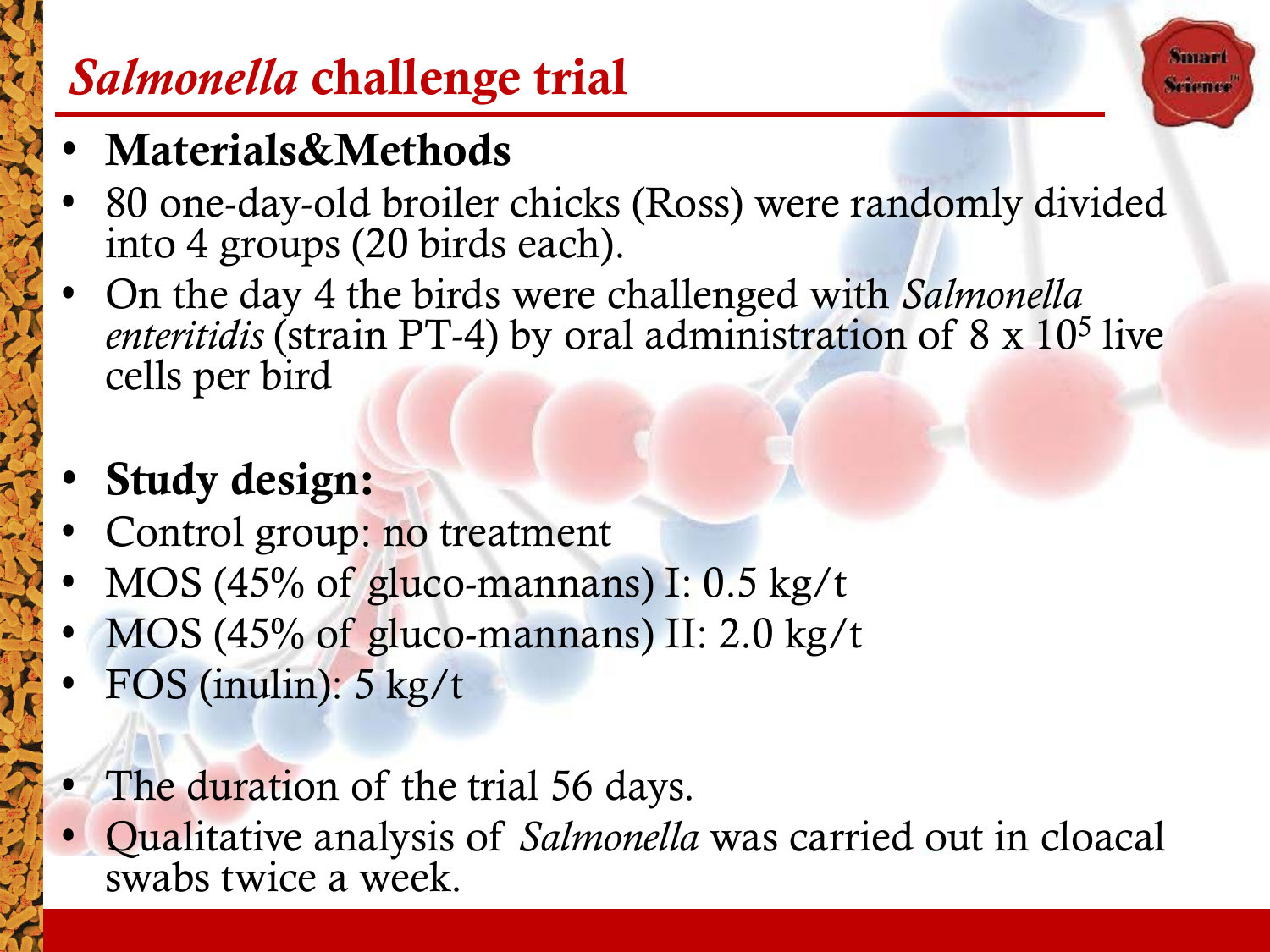### *Salmonella* challenge trial

### • Materials&Methods

• 80 one-day-old broiler chicks (Ross) were randomly divided into 4 groups (20 birds each).

**Summer** Scieme

• On the day 4 the birds were challenged with *Salmonella enteritidis* (strain PT-4) by oral administration of 8 x 10<sup>5</sup> live cells per bird

### Study design:

- Control group: no treatment
- MOS (45% of gluco-mannans) I: 0.5 kg/t
- MOS (45% of gluco-mannans) II: 2.0 kg/t
- FOS (inulin): 5 kg/t
- The duration of the trial 56 days.
- Qualitative analysis of *Salmonella* was carried out in cloacal swabs twice a week.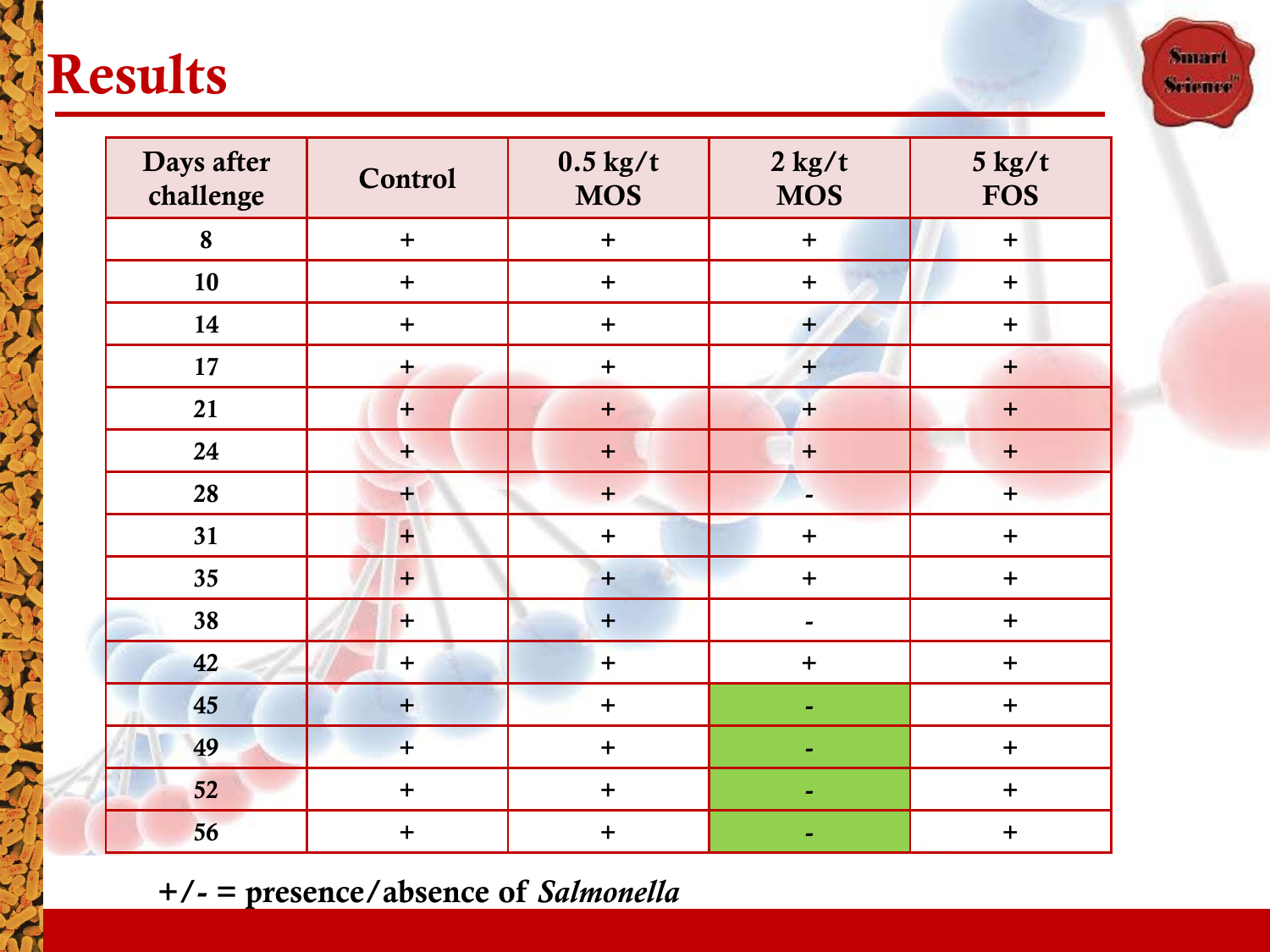# **Results**

| Days after<br>challenge | Control   | $0.5$ kg/t<br><b>MOS</b> | $2$ kg/t<br><b>MOS</b>   | $5$ kg/t<br><b>FOS</b> |
|-------------------------|-----------|--------------------------|--------------------------|------------------------|
| 8                       | $\pm$     | $+$                      | $\pm$                    | $\ddot{}$              |
| 10                      | $+$       | $+$                      | $\ddot{}$                | $+$                    |
| 14                      | $+$       | $+$                      | $+$                      | $+$                    |
| 17                      | $+$       | $+$                      | $\ddot{}$                | $+$                    |
| 21                      | $+$       | $+$                      | $+$                      | $\ddot{}$              |
| 24                      | $+$       | $\ddot{}$                | $+$                      | $\ddot{}$              |
| 28                      | $+$       | $+$                      | $\overline{\phantom{0}}$ | $+$                    |
| 31                      | $\ddot{}$ | $\ddot{}$                | $\ddot{}$                | $\ddot{}$              |
| 35                      | $+$       | $+$                      | $\ddot{}$                | $\ddot{}$              |
| 38                      | $+$       | $+$                      |                          | $\ddot{}$              |
| 42                      | $\ddot{}$ | $\ddot{}$                | $\ddot{}$                | $\ddot{}$              |
| 45                      | $+$       | $+$                      |                          | $+$                    |
| 49                      | $\ddot{}$ | $+$                      |                          | $\ddot{}$              |
| 52                      | $\ddot{}$ | $\pm$                    |                          | $\ddot{}$              |
| 56                      | $\ddot{}$ | $\ddot{}$                |                          | $\ddot{}$              |

+/- = presence/absence of *Salmonella*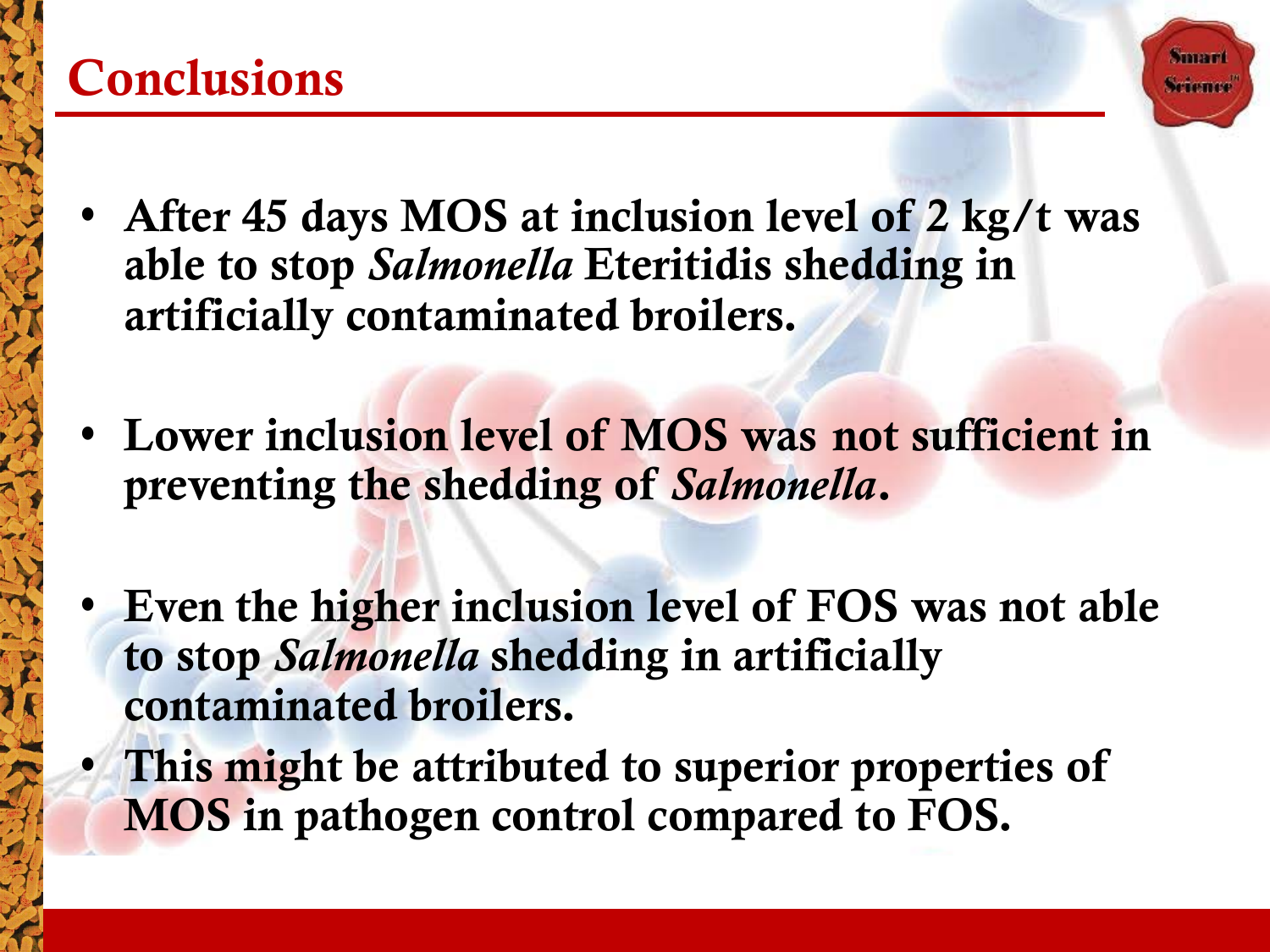#### **Conclusions**

- **Summer**
- After 45 days MOS at inclusion level of 2 kg/t was able to stop *Salmonella* Eteritidis shedding in artificially contaminated broilers.
- Lower inclusion level of MOS was not sufficient in preventing the shedding of *Salmonella*.
- Even the higher inclusion level of FOS was not able to stop *Salmonella* shedding in artificially contaminated broilers.
- This might be attributed to superior properties of MOS in pathogen control compared to FOS.